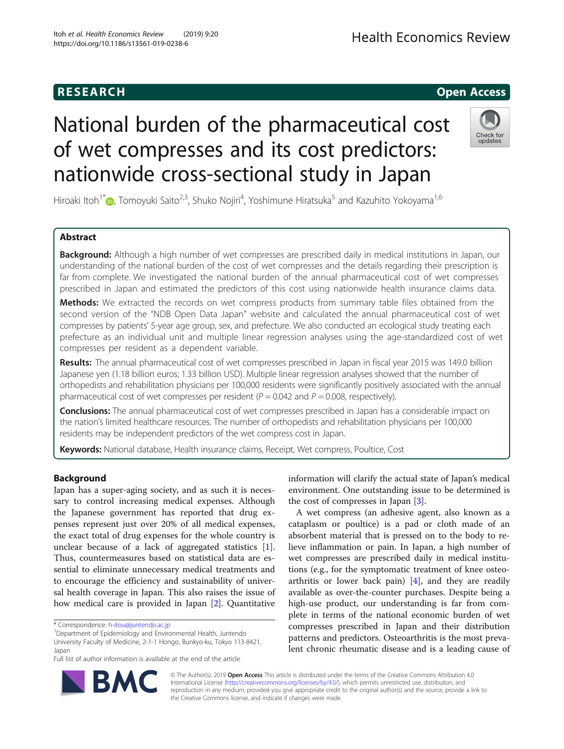# National burden of the pharmaceutical cost of wet compresses and its cost predictors: nationwide cross-sectional study in Japan



Hiroaki Itoh<sup>1\*</sup>@, Tomoyuki Saito<sup>2,3</sup>, Shuko Nojiri<sup>4</sup>, Yoshimune Hiratsuka<sup>5</sup> and Kazuhito Yokoyama<sup>1,6</sup>

### Abstract

Background: Although a high number of wet compresses are prescribed daily in medical institutions in Japan, our understanding of the national burden of the cost of wet compresses and the details regarding their prescription is far from complete. We investigated the national burden of the annual pharmaceutical cost of wet compresses prescribed in Japan and estimated the predictors of this cost using nationwide health insurance claims data.

Methods: We extracted the records on wet compress products from summary table files obtained from the second version of the "NDB Open Data Japan" website and calculated the annual pharmaceutical cost of wet compresses by patients' 5-year age group, sex, and prefecture. We also conducted an ecological study treating each prefecture as an individual unit and multiple linear regression analyses using the age-standardized cost of wet compresses per resident as a dependent variable.

Results: The annual pharmaceutical cost of wet compresses prescribed in Japan in fiscal year 2015 was 149.0 billion Japanese yen (1.18 billion euros; 1.33 billion USD). Multiple linear regression analyses showed that the number of orthopedists and rehabilitation physicians per 100,000 residents were significantly positively associated with the annual pharmaceutical cost of wet compresses per resident ( $P = 0.042$  and  $P = 0.008$ , respectively).

**Conclusions:** The annual pharmaceutical cost of wet compresses prescribed in Japan has a considerable impact on the nation's limited healthcare resources. The number of orthopedists and rehabilitation physicians per 100,000 residents may be independent predictors of the wet compress cost in Japan.

Keywords: National database, Health insurance claims, Receipt, Wet compress, Poultice, Cost

#### Background

Japan has a super-aging society, and as such it is necessary to control increasing medical expenses. Although the Japanese government has reported that drug expenses represent just over 20% of all medical expenses, the exact total of drug expenses for the whole country is unclear because of a lack of aggregated statistics [\[1](#page-5-0)]. Thus, countermeasures based on statistical data are essential to eliminate unnecessary medical treatments and to encourage the efficiency and sustainability of universal health coverage in Japan. This also raises the issue of how medical care is provided in Japan [[2\]](#page-5-0). Quantitative

<sup>1</sup>Department of Epidemiology and Environmental Health, Juntendo University Faculty of Medicine, 2-1-1 Hongo, Bunkyo-ku, Tokyo 113-8421, Japan

Full list of author information is available at the end of the article

information will clarify the actual state of Japan's medical environment. One outstanding issue to be determined is the cost of compresses in Japan [\[3\]](#page-5-0).

A wet compress (an adhesive agent, also known as a cataplasm or poultice) is a pad or cloth made of an absorbent material that is pressed on to the body to relieve inflammation or pain. In Japan, a high number of wet compresses are prescribed daily in medical institutions (e.g., for the symptomatic treatment of knee osteoarthritis or lower back pain)  $[4]$  $[4]$ , and they are readily available as over-the-counter purchases. Despite being a high-use product, our understanding is far from complete in terms of the national economic burden of wet compresses prescribed in Japan and their distribution patterns and predictors. Osteoarthritis is the most prevalent chronic rheumatic disease and is a leading cause of



© The Author(s). 2019 Open Access This article is distributed under the terms of the Creative Commons Attribution 4.0 International License [\(http://creativecommons.org/licenses/by/4.0/](http://creativecommons.org/licenses/by/4.0/)), which permits unrestricted use, distribution, and reproduction in any medium, provided you give appropriate credit to the original author(s) and the source, provide a link to the Creative Commons license, and indicate if changes were made.

<sup>\*</sup> Correspondence: [h-itou@juntendo.ac.jp](mailto:h-itou@juntendo.ac.jp) <sup>1</sup>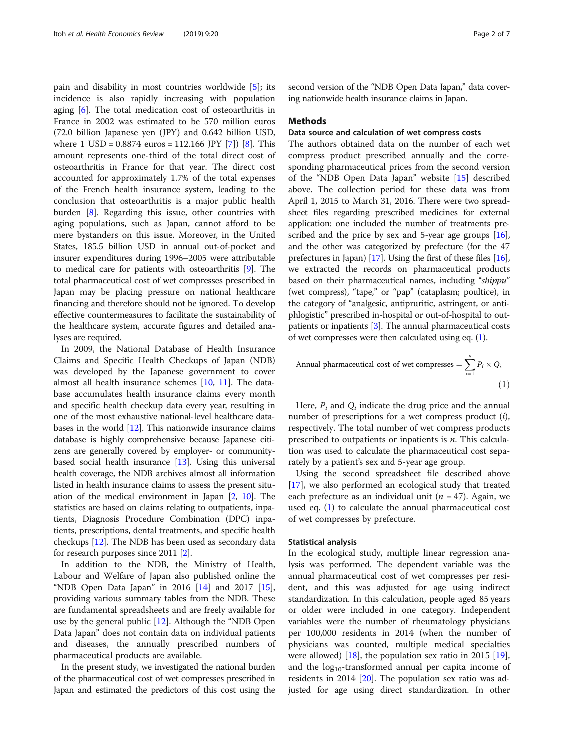pain and disability in most countries worldwide [[5](#page-5-0)]; its incidence is also rapidly increasing with population aging [[6\]](#page-5-0). The total medication cost of osteoarthritis in France in 2002 was estimated to be 570 million euros (72.0 billion Japanese yen (JPY) and 0.642 billion USD, where 1 USD =  $0.8874$  euros = 112.166 JPY [[7\]](#page-5-0)) [[8\]](#page-5-0). This amount represents one-third of the total direct cost of osteoarthritis in France for that year. The direct cost accounted for approximately 1.7% of the total expenses of the French health insurance system, leading to the conclusion that osteoarthritis is a major public health burden [\[8](#page-5-0)]. Regarding this issue, other countries with aging populations, such as Japan, cannot afford to be mere bystanders on this issue. Moreover, in the United States, 185.5 billion USD in annual out-of-pocket and insurer expenditures during 1996–2005 were attributable to medical care for patients with osteoarthritis [\[9\]](#page-5-0). The total pharmaceutical cost of wet compresses prescribed in Japan may be placing pressure on national healthcare financing and therefore should not be ignored. To develop effective countermeasures to facilitate the sustainability of the healthcare system, accurate figures and detailed analyses are required.

In 2009, the National Database of Health Insurance Claims and Specific Health Checkups of Japan (NDB) was developed by the Japanese government to cover almost all health insurance schemes [[10,](#page-5-0) [11](#page-5-0)]. The database accumulates health insurance claims every month and specific health checkup data every year, resulting in one of the most exhaustive national-level healthcare databases in the world [\[12\]](#page-5-0). This nationwide insurance claims database is highly comprehensive because Japanese citizens are generally covered by employer- or communitybased social health insurance [[13](#page-5-0)]. Using this universal health coverage, the NDB archives almost all information listed in health insurance claims to assess the present situation of the medical environment in Japan [[2,](#page-5-0) [10\]](#page-5-0). The statistics are based on claims relating to outpatients, inpatients, Diagnosis Procedure Combination (DPC) inpatients, prescriptions, dental treatments, and specific health checkups [[12\]](#page-5-0). The NDB has been used as secondary data for research purposes since 2011 [[2\]](#page-5-0).

In addition to the NDB, the Ministry of Health, Labour and Welfare of Japan also published online the "NDB Open Data Japan" in 2016 [\[14](#page-5-0)] and 2017 [\[15](#page-5-0)], providing various summary tables from the NDB. These are fundamental spreadsheets and are freely available for use by the general public [\[12](#page-5-0)]. Although the "NDB Open Data Japan" does not contain data on individual patients and diseases, the annually prescribed numbers of pharmaceutical products are available.

In the present study, we investigated the national burden of the pharmaceutical cost of wet compresses prescribed in Japan and estimated the predictors of this cost using the

second version of the "NDB Open Data Japan," data covering nationwide health insurance claims in Japan.

#### Methods

#### Data source and calculation of wet compress costs

The authors obtained data on the number of each wet compress product prescribed annually and the corresponding pharmaceutical prices from the second version of the "NDB Open Data Japan" website [\[15](#page-5-0)] described above. The collection period for these data was from April 1, 2015 to March 31, 2016. There were two spreadsheet files regarding prescribed medicines for external application: one included the number of treatments pre-scribed and the price by sex and 5-year age groups [[16](#page-5-0)], and the other was categorized by prefecture (for the 47 prefectures in Japan) [[17](#page-6-0)]. Using the first of these files [[16](#page-5-0)], we extracted the records on pharmaceutical products based on their pharmaceutical names, including "shippu" (wet compress), "tape," or "pap" (cataplasm; poultice), in the category of "analgesic, antipruritic, astringent, or antiphlogistic" prescribed in-hospital or out-of-hospital to outpatients or inpatients [[3\]](#page-5-0). The annual pharmaceutical costs of wet compresses were then calculated using eq. (1).

Annual pharmacautical cost of wet compresses = 
$$
\sum_{i=1}^{n} P_i \times Q_i
$$
 (1)

Here,  $P_i$  and  $Q_i$  indicate the drug price and the annual number of prescriptions for a wet compress product (i), respectively. The total number of wet compress products prescribed to outpatients or inpatients is  $n$ . This calculation was used to calculate the pharmaceutical cost separately by a patient's sex and 5-year age group.

Using the second spreadsheet file described above [[17\]](#page-6-0), we also performed an ecological study that treated each prefecture as an individual unit ( $n = 47$ ). Again, we used eq. (1) to calculate the annual pharmaceutical cost of wet compresses by prefecture.

#### Statistical analysis

In the ecological study, multiple linear regression analysis was performed. The dependent variable was the annual pharmaceutical cost of wet compresses per resident, and this was adjusted for age using indirect standardization. In this calculation, people aged 85 years or older were included in one category. Independent variables were the number of rheumatology physicians per 100,000 residents in 2014 (when the number of physicians was counted, multiple medical specialties were allowed) [[18](#page-6-0)], the population sex ratio in 2015 [\[19](#page-6-0)], and the  $log_{10}$ -transformed annual per capita income of residents in 2014 [\[20](#page-6-0)]. The population sex ratio was adjusted for age using direct standardization. In other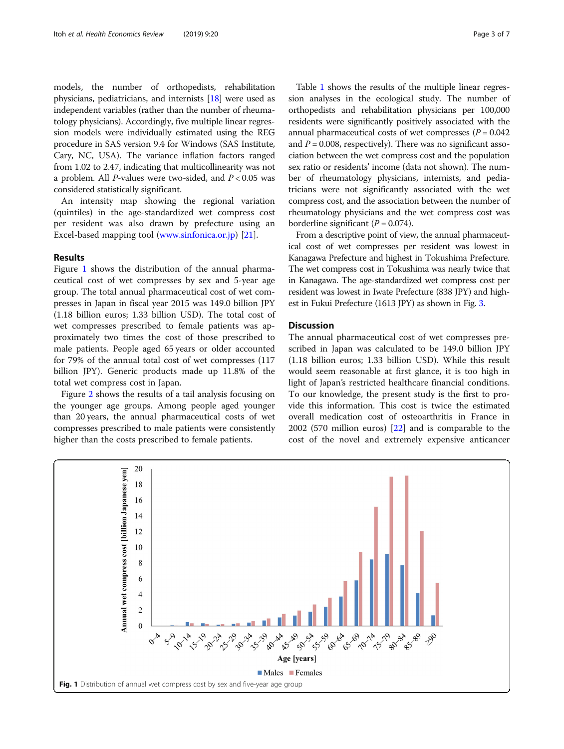models, the number of orthopedists, rehabilitation physicians, pediatricians, and internists [[18](#page-6-0)] were used as independent variables (rather than the number of rheumatology physicians). Accordingly, five multiple linear regression models were individually estimated using the REG procedure in SAS version 9.4 for Windows (SAS Institute, Cary, NC, USA). The variance inflation factors ranged from 1.02 to 2.47, indicating that multicollinearity was not a problem. All *P*-values were two-sided, and  $P < 0.05$  was considered statistically significant.

An intensity map showing the regional variation (quintiles) in the age-standardized wet compress cost per resident was also drawn by prefecture using an Excel-based mapping tool [\(www.sinfonica.or.jp](http://www.sinfonica.or.jp)) [[21\]](#page-6-0).

#### Results

Figure 1 shows the distribution of the annual pharmaceutical cost of wet compresses by sex and 5-year age group. The total annual pharmaceutical cost of wet compresses in Japan in fiscal year 2015 was 149.0 billion JPY (1.18 billion euros; 1.33 billion USD). The total cost of wet compresses prescribed to female patients was approximately two times the cost of those prescribed to male patients. People aged 65 years or older accounted for 79% of the annual total cost of wet compresses (117 billion JPY). Generic products made up 11.8% of the total wet compress cost in Japan.

Figure [2](#page-3-0) shows the results of a tail analysis focusing on the younger age groups. Among people aged younger than 20 years, the annual pharmaceutical costs of wet compresses prescribed to male patients were consistently higher than the costs prescribed to female patients.

Table [1](#page-3-0) shows the results of the multiple linear regression analyses in the ecological study. The number of orthopedists and rehabilitation physicians per 100,000 residents were significantly positively associated with the annual pharmaceutical costs of wet compresses ( $P = 0.042$ ) and  $P = 0.008$ , respectively). There was no significant association between the wet compress cost and the population sex ratio or residents' income (data not shown). The number of rheumatology physicians, internists, and pediatricians were not significantly associated with the wet compress cost, and the association between the number of rheumatology physicians and the wet compress cost was borderline significant  $(P = 0.074)$ .

From a descriptive point of view, the annual pharmaceutical cost of wet compresses per resident was lowest in Kanagawa Prefecture and highest in Tokushima Prefecture. The wet compress cost in Tokushima was nearly twice that in Kanagawa. The age-standardized wet compress cost per resident was lowest in Iwate Prefecture (838 JPY) and highest in Fukui Prefecture (1613 JPY) as shown in Fig. [3.](#page-4-0)

#### **Discussion**

The annual pharmaceutical cost of wet compresses prescribed in Japan was calculated to be 149.0 billion JPY (1.18 billion euros; 1.33 billion USD). While this result would seem reasonable at first glance, it is too high in light of Japan's restricted healthcare financial conditions. To our knowledge, the present study is the first to provide this information. This cost is twice the estimated overall medication cost of osteoarthritis in France in 2002 (570 million euros) [[22\]](#page-6-0) and is comparable to the cost of the novel and extremely expensive anticancer

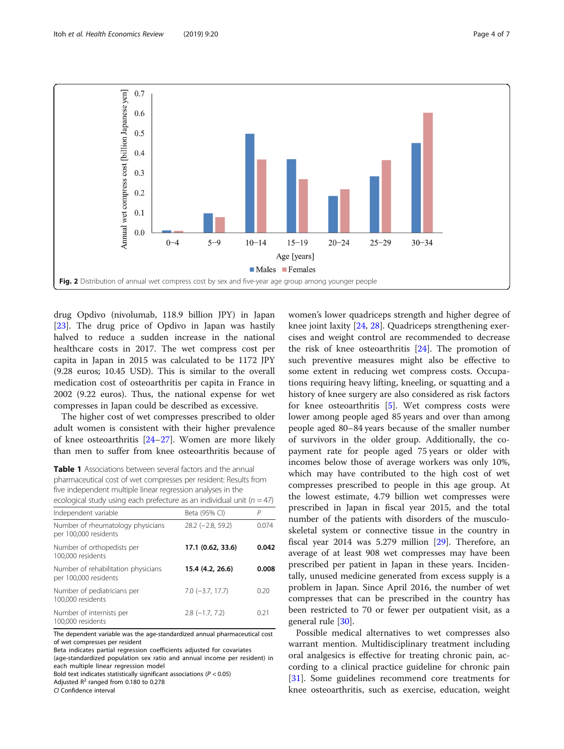<span id="page-3-0"></span>

drug Opdivo (nivolumab, 118.9 billion JPY) in Japan [[23\]](#page-6-0). The drug price of Opdivo in Japan was hastily halved to reduce a sudden increase in the national healthcare costs in 2017. The wet compress cost per capita in Japan in 2015 was calculated to be 1172 JPY (9.28 euros; 10.45 USD). This is similar to the overall medication cost of osteoarthritis per capita in France in 2002 (9.22 euros). Thus, the national expense for wet compresses in Japan could be described as excessive.

The higher cost of wet compresses prescribed to older adult women is consistent with their higher prevalence of knee osteoarthritis [[24](#page-6-0)–[27](#page-6-0)]. Women are more likely than men to suffer from knee osteoarthritis because of

| <b>Table 1</b> Associations between several factors and the annual        |
|---------------------------------------------------------------------------|
| pharmaceutical cost of wet compresses per resident: Results from          |
| five independent multiple linear regression analyses in the               |
| ecological study using each prefecture as an individual unit ( $n = 47$ ) |

| Independent variable                                         | Beta (95% CI)          | Р     |
|--------------------------------------------------------------|------------------------|-------|
| Number of rheumatology physicians<br>per 100,000 residents   | $28.2$ (-2.8, 59.2)    | 0.074 |
| Number of orthopedists per<br>100,000 residents              | 17.1 (0.62, 33.6)      | 0.042 |
| Number of rehabilitation physicians<br>per 100,000 residents | 15.4 (4.2, 26.6)       | 0.008 |
| Number of pediatricians per<br>100.000 residents             | $7.0$ ( $-3.7$ , 17.7) | 0.20  |
| Number of internists per<br>100,000 residents                | $2.8$ (-1.7, 7.2)      | 0.21  |

The dependent variable was the age-standardized annual pharmaceutical cost of wet compresses per resident

(age-standardized population sex ratio and annual income per resident) in each multiple linear regression model

Bold text indicates statistically significant associations ( $P < 0.05$ )

Adjusted  $R^2$  ranged from 0.180 to 0.278

CI Confidence interval

women's lower quadriceps strength and higher degree of knee joint laxity [\[24](#page-6-0), [28](#page-6-0)]. Quadriceps strengthening exercises and weight control are recommended to decrease the risk of knee osteoarthritis [\[24\]](#page-6-0). The promotion of such preventive measures might also be effective to some extent in reducing wet compress costs. Occupations requiring heavy lifting, kneeling, or squatting and a history of knee surgery are also considered as risk factors for knee osteoarthritis [[5\]](#page-5-0). Wet compress costs were lower among people aged 85 years and over than among people aged 80–84 years because of the smaller number of survivors in the older group. Additionally, the copayment rate for people aged 75 years or older with incomes below those of average workers was only 10%, which may have contributed to the high cost of wet compresses prescribed to people in this age group. At the lowest estimate, 4.79 billion wet compresses were prescribed in Japan in fiscal year 2015, and the total number of the patients with disorders of the musculoskeletal system or connective tissue in the country in fiscal year 2014 was 5.279 million [\[29\]](#page-6-0). Therefore, an average of at least 908 wet compresses may have been prescribed per patient in Japan in these years. Incidentally, unused medicine generated from excess supply is a problem in Japan. Since April 2016, the number of wet compresses that can be prescribed in the country has been restricted to 70 or fewer per outpatient visit, as a general rule [\[30](#page-6-0)].

Possible medical alternatives to wet compresses also warrant mention. Multidisciplinary treatment including oral analgesics is effective for treating chronic pain, according to a clinical practice guideline for chronic pain [[31\]](#page-6-0). Some guidelines recommend core treatments for knee osteoarthritis, such as exercise, education, weight

Beta indicates partial regression coefficients adjusted for covariates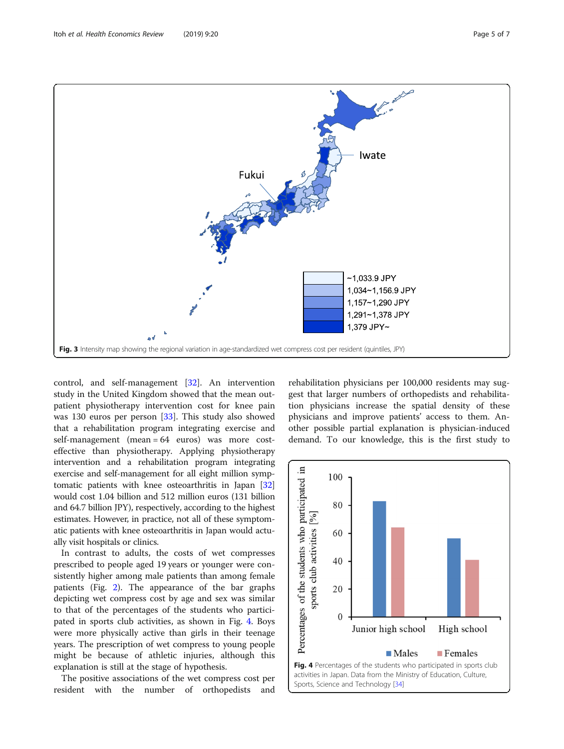<span id="page-4-0"></span>

control, and self-management [\[32](#page-6-0)]. An intervention study in the United Kingdom showed that the mean outpatient physiotherapy intervention cost for knee pain was 130 euros per person [[33\]](#page-6-0). This study also showed that a rehabilitation program integrating exercise and self-management (mean = 64 euros) was more costeffective than physiotherapy. Applying physiotherapy intervention and a rehabilitation program integrating exercise and self-management for all eight million symptomatic patients with knee osteoarthritis in Japan [[32](#page-6-0)] would cost 1.04 billion and 512 million euros (131 billion and 64.7 billion JPY), respectively, according to the highest estimates. However, in practice, not all of these symptomatic patients with knee osteoarthritis in Japan would actually visit hospitals or clinics.

In contrast to adults, the costs of wet compresses prescribed to people aged 19 years or younger were consistently higher among male patients than among female patients (Fig. [2](#page-3-0)). The appearance of the bar graphs depicting wet compress cost by age and sex was similar to that of the percentages of the students who participated in sports club activities, as shown in Fig. 4. Boys were more physically active than girls in their teenage years. The prescription of wet compress to young people might be because of athletic injuries, although this explanation is still at the stage of hypothesis.

The positive associations of the wet compress cost per resident with the number of orthopedists and rehabilitation physicians per 100,000 residents may suggest that larger numbers of orthopedists and rehabilitation physicians increase the spatial density of these physicians and improve patients' access to them. Another possible partial explanation is physician-induced demand. To our knowledge, this is the first study to

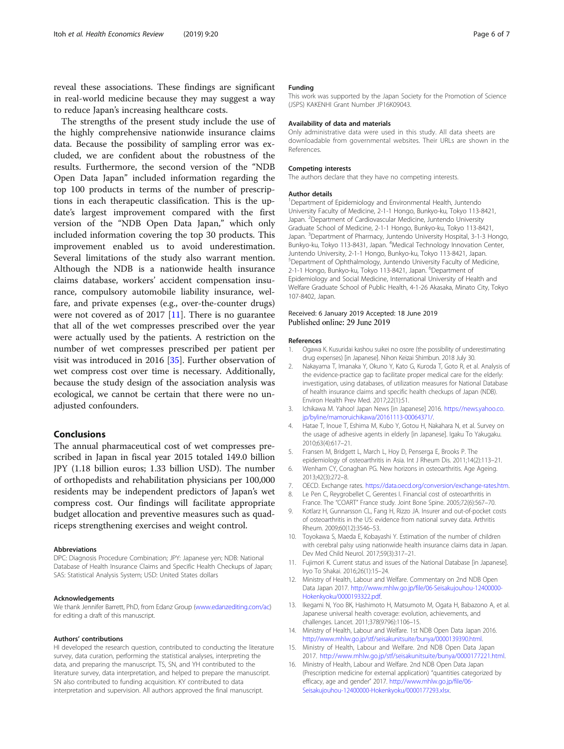<span id="page-5-0"></span>reveal these associations. These findings are significant in real-world medicine because they may suggest a way to reduce Japan's increasing healthcare costs.

The strengths of the present study include the use of the highly comprehensive nationwide insurance claims data. Because the possibility of sampling error was excluded, we are confident about the robustness of the results. Furthermore, the second version of the "NDB Open Data Japan" included information regarding the top 100 products in terms of the number of prescriptions in each therapeutic classification. This is the update's largest improvement compared with the first version of the "NDB Open Data Japan," which only included information covering the top 30 products. This improvement enabled us to avoid underestimation. Several limitations of the study also warrant mention. Although the NDB is a nationwide health insurance claims database, workers' accident compensation insurance, compulsory automobile liability insurance, welfare, and private expenses (e.g., over-the-counter drugs) were not covered as of 2017 [11]. There is no guarantee that all of the wet compresses prescribed over the year were actually used by the patients. A restriction on the number of wet compresses prescribed per patient per visit was introduced in 2016 [[35](#page-6-0)]. Further observation of wet compress cost over time is necessary. Additionally, because the study design of the association analysis was ecological, we cannot be certain that there were no unadjusted confounders.

#### Conclusions

The annual pharmaceutical cost of wet compresses prescribed in Japan in fiscal year 2015 totaled 149.0 billion JPY (1.18 billion euros; 1.33 billion USD). The number of orthopedists and rehabilitation physicians per 100,000 residents may be independent predictors of Japan's wet compress cost. Our findings will facilitate appropriate budget allocation and preventive measures such as quadriceps strengthening exercises and weight control.

#### Abbreviations

DPC: Diagnosis Procedure Combination; JPY: Japanese yen; NDB: National Database of Health Insurance Claims and Specific Health Checkups of Japan; SAS: Statistical Analysis System; USD: United States dollars

#### Acknowledgements

We thank Jennifer Barrett, PhD, from Edanz Group [\(www.edanzediting.com/ac\)](http://www.edanzediting.com/ac) for editing a draft of this manuscript.

#### Authors' contributions

HI developed the research question, contributed to conducting the literature survey, data curation, performing the statistical analyses, interpreting the data, and preparing the manuscript. TS, SN, and YH contributed to the literature survey, data interpretation, and helped to prepare the manuscript. SN also contributed to funding acquisition. KY contributed to data interpretation and supervision. All authors approved the final manuscript.

#### Funding

This work was supported by the Japan Society for the Promotion of Science (JSPS) KAKENHI Grant Number JP16K09043.

#### Availability of data and materials

Only administrative data were used in this study. All data sheets are downloadable from governmental websites. Their URLs are shown in the References.

#### Competing interests

The authors declare that they have no competing interests.

#### Author details

<sup>1</sup>Department of Epidemiology and Environmental Health, Juntendo University Faculty of Medicine, 2-1-1 Hongo, Bunkyo-ku, Tokyo 113-8421, Japan. <sup>2</sup> Department of Cardiovascular Medicine, Juntendo University Graduate School of Medicine, 2-1-1 Hongo, Bunkyo-ku, Tokyo 113-8421, Japan. <sup>3</sup>Department of Pharmacy, Juntendo University Hospital, 3-1-3 Hongo Bunkyo-ku, Tokyo 113-8431, Japan. <sup>4</sup> Medical Technology Innovation Center, Juntendo University, 2-1-1 Hongo, Bunkyo-ku, Tokyo 113-8421, Japan. 5 Department of Ophthalmology, Juntendo University Faculty of Medicine, 2-1-1 Hongo, Bunkyo-ku, Tokyo 113-8421, Japan. <sup>6</sup>Department of Epidemiology and Social Medicine, International University of Health and Welfare Graduate School of Public Health, 4-1-26 Akasaka, Minato City, Tokyo 107-8402, Japan.

## Received: 6 January 2019 Accepted: 18 June 2019

#### References

- 1. Ogawa K. Kusuridai kashou suikei no osore (the possibility of underestimating drug expenses) [in Japanese]. Nihon Keizai Shimbun. 2018 July 30.
- 2. Nakayama T, Imanaka Y, Okuno Y, Kato G, Kuroda T, Goto R, et al. Analysis of the evidence-practice gap to facilitate proper medical care for the elderly: investigation, using databases, of utilization measures for National Database of health insurance claims and specific health checkups of Japan (NDB). Environ Health Prev Med. 2017;22(1):51.
- 3. Ichikawa M. Yahoo! Japan News [in Japanese] 2016. [https://news.yahoo.co.](https://news.yahoo.co.jp/byline/mamoruichikawa/20161113-00064371/) [jp/byline/mamoruichikawa/20161113-00064371/](https://news.yahoo.co.jp/byline/mamoruichikawa/20161113-00064371/).
- 4. Hatae T, Inoue T, Eshima M, Kubo Y, Gotou H, Nakahara N, et al. Survey on the usage of adhesive agents in elderly [in Japanese]. Igaku To Yakugaku. 2010;63(4):617–21.
- 5. Fransen M, Bridgett L, March L, Hoy D, Penserga E, Brooks P. The epidemiology of osteoarthritis in Asia. Int J Rheum Dis. 2011;14(2):113–21.
- 6. Wenham CY, Conaghan PG. New horizons in osteoarthritis. Age Ageing. 2013;42(3):272–8.
- 7. OECD. Exchange rates. <https://data.oecd.org/conversion/exchange-rates.htm>.
- 8. Le Pen C, Reygrobellet C, Gerentes I. Financial cost of osteoarthritis in France. The "COART" France study. Joint Bone Spine. 2005;72(6):567–70.
- 9. Kotlarz H, Gunnarsson CL, Fang H, Rizzo JA. Insurer and out-of-pocket costs of osteoarthritis in the US: evidence from national survey data. Arthritis Rheum. 2009;60(12):3546–53.
- 10. Toyokawa S, Maeda E, Kobayashi Y. Estimation of the number of children with cerebral palsy using nationwide health insurance claims data in Japan. Dev Med Child Neurol. 2017;59(3):317–21.
- 11. Fujimori K. Current status and issues of the National Database [in Japanese]. Iryo To Shakai. 2016;26(1):15–24.
- 12. Ministry of Health, Labour and Welfare. Commentary on 2nd NDB Open Data Japan 2017. [http://www.mhlw.go.jp/file/06-Seisakujouhou-12400000-](http://www.mhlw.go.jp/file/06-Seisakujouhou-12400000-Hokenkyoku/0000193322.pdf) [Hokenkyoku/0000193322.pdf](http://www.mhlw.go.jp/file/06-Seisakujouhou-12400000-Hokenkyoku/0000193322.pdf).
- 13. Ikegami N, Yoo BK, Hashimoto H, Matsumoto M, Ogata H, Babazono A, et al. Japanese universal health coverage: evolution, achievements, and challenges. Lancet. 2011;378(9796):1106–15.
- 14. Ministry of Health, Labour and Welfare. 1st NDB Open Data Japan 2016. <http://www.mhlw.go.jp/stf/seisakunitsuite/bunya/0000139390.html>.
- 15. Ministry of Health, Labour and Welfare. 2nd NDB Open Data Japan 2017. [http://www.mhlw.go.jp/stf/seisakunitsuite/bunya/0000177221.html.](http://www.mhlw.go.jp/stf/seisakunitsuite/bunya/0000177221.html)
- 16. Ministry of Health, Labour and Welfare. 2nd NDB Open Data Japan (Prescription medicine for external application) "quantities categorized by efficacy, age and gender" 2017. [http://www.mhlw.go.jp/file/06-](http://www.mhlw.go.jp/file/06-Seisakujouhou-12400000-Hokenkyoku/0000177293.xlsx) [Seisakujouhou-12400000-Hokenkyoku/0000177293.xlsx.](http://www.mhlw.go.jp/file/06-Seisakujouhou-12400000-Hokenkyoku/0000177293.xlsx)